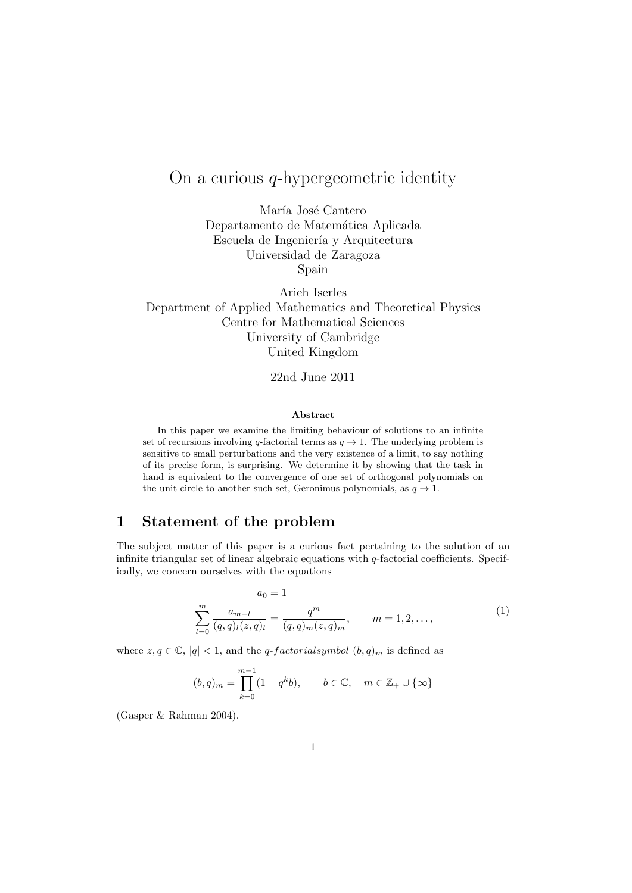# On a curious  $q$ -hypergeometric identity

María José Cantero Departamento de Matemática Aplicada Escuela de Ingeniería y Arquitectura Universidad de Zaragoza Spain

Arieh Iserles Department of Applied Mathematics and Theoretical Physics Centre for Mathematical Sciences University of Cambridge United Kingdom

22nd June 2011

#### Abstract

In this paper we examine the limiting behaviour of solutions to an infinite set of recursions involving q-factorial terms as  $q \to 1$ . The underlying problem is sensitive to small perturbations and the very existence of a limit, to say nothing of its precise form, is surprising. We determine it by showing that the task in hand is equivalent to the convergence of one set of orthogonal polynomials on the unit circle to another such set, Geronimus polynomials, as  $q \to 1$ .

#### 1 Statement of the problem

The subject matter of this paper is a curious fact pertaining to the solution of an infinite triangular set of linear algebraic equations with  $q$ -factorial coefficients. Specifically, we concern ourselves with the equations

$$
a_0 = 1
$$
  

$$
\sum_{l=0}^{m} \frac{a_{m-l}}{(q,q)_l(z,q)_l} = \frac{q^m}{(q,q)_m(z,q)_m}, \qquad m = 1, 2, ...,
$$
 (1)

where  $z, q \in \mathbb{C}$ ,  $|q| < 1$ , and the *q-factorialsymbol*  $(b, q)_m$  is defined as

$$
(b,q)_m = \prod_{k=0}^{m-1} (1 - q^k b), \qquad b \in \mathbb{C}, \quad m \in \mathbb{Z}_+ \cup \{\infty\}
$$

(Gasper & Rahman 2004).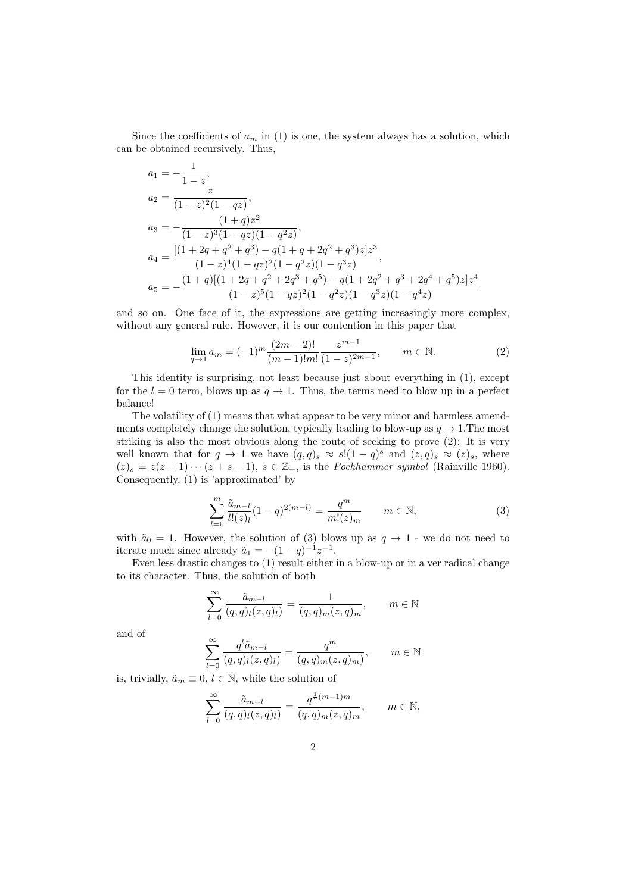Since the coefficients of  $a_m$  in (1) is one, the system always has a solution, which can be obtained recursively. Thus,

$$
a_1 = -\frac{1}{1-z},
$$
  
\n
$$
a_2 = \frac{z}{(1-z)^2(1-qz)},
$$
  
\n
$$
a_3 = -\frac{(1+q)z^2}{(1-z)^3(1-qz)(1-q^2z)},
$$
  
\n
$$
a_4 = \frac{[(1+2q+q^2+q^3)-q(1+q+2q^2+q^3)z]z^3}{(1-z)^4(1-qz)^2(1-q^2z)(1-q^3z)},
$$
  
\n
$$
a_5 = -\frac{(1+q)[(1+2q+q^2+2q^3+q^5)-q(1+2q^2+q^3+2q^4+q^5)z]z^4}{(1-z)^5(1-qz)^2(1-q^2z)(1-q^3z)(1-q^4z)}
$$

and so on. One face of it, the expressions are getting increasingly more complex, without any general rule. However, it is our contention in this paper that

$$
\lim_{q \to 1} a_m = (-1)^m \frac{(2m-2)!}{(m-1)!m!} \frac{z^{m-1}}{(1-z)^{2m-1}}, \qquad m \in \mathbb{N}.
$$
 (2)

This identity is surprising, not least because just about everything in (1), except for the  $l = 0$  term, blows up as  $q \to 1$ . Thus, the terms need to blow up in a perfect balance!

The volatility of (1) means that what appear to be very minor and harmless amendments completely change the solution, typically leading to blow-up as  $q \to 1$ . The most striking is also the most obvious along the route of seeking to prove (2): It is very well known that for  $q \to 1$  we have  $(q,q)_s \approx s!(1-q)^s$  and  $(z,q)_s \approx (z)_s$ , where  $(z)_s = z(z+1)\cdots(z+s-1), s \in \mathbb{Z}_+,$  is the *Pochhammer symbol* (Rainville 1960). Consequently, (1) is 'approximated' by

$$
\sum_{l=0}^{m} \frac{\tilde{a}_{m-l}}{l!(z)_l} (1-q)^{2(m-l)} = \frac{q^m}{m!(z)_m} \qquad m \in \mathbb{N},\tag{3}
$$

with  $\tilde{a}_0 = 1$ . However, the solution of (3) blows up as  $q \to 1$  - we do not need to iterate much since already  $\tilde{a}_1 = -(1 - q)^{-1} z^{-1}$ .

Even less drastic changes to (1) result either in a blow-up or in a ver radical change to its character. Thus, the solution of both

$$
\sum_{l=0}^{\infty} \frac{\tilde{a}_{m-l}}{(q,q)_l(z,q)_l} = \frac{1}{(q,q)_m(z,q)_m}, \qquad m \in \mathbb{N}
$$

and of

$$
\sum_{l=0}^{\infty} \frac{q^l \tilde{a}_{m-l}}{(q,q)_l(z,q)_l} = \frac{q^m}{(q,q)_m(z,q)_m}, \qquad m \in \mathbb{N}
$$

is, trivially,  $\tilde{a}_m \equiv 0, l \in \mathbb{N}$ , while the solution of

$$
\sum_{l=0}^{\infty} \frac{\tilde{a}_{m-l}}{(q,q)_l(z,q)_l} = \frac{q^{\frac{1}{2}(m-1)m}}{(q,q)_m(z,q)_m}, \qquad m \in \mathbb{N},
$$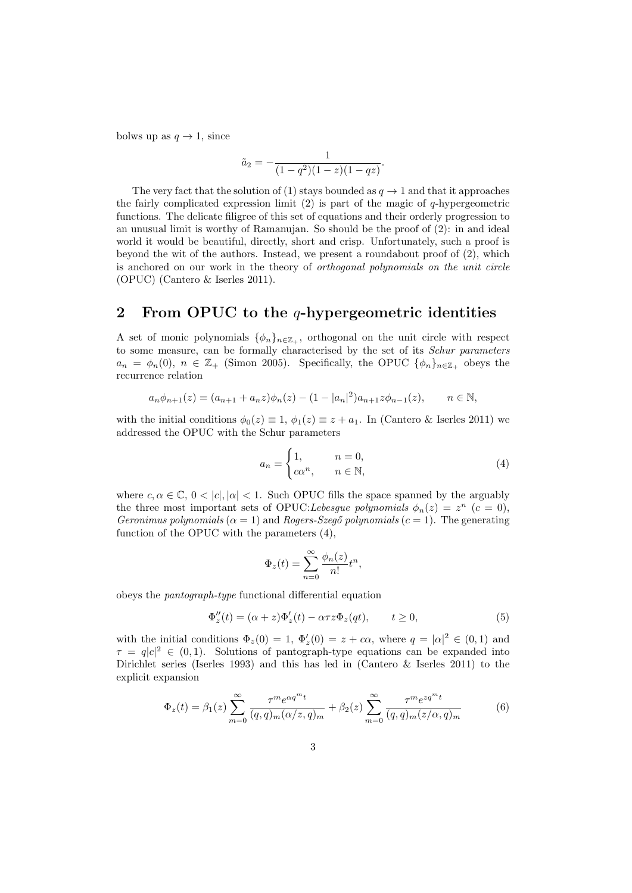bolws up as  $q \to 1$ , since

$$
\tilde{a}_2 = -\frac{1}{(1-q^2)(1-z)(1-qz)}.
$$

The very fact that the solution of (1) stays bounded as  $q \to 1$  and that it approaches the fairly complicated expression limit  $(2)$  is part of the magic of q-hypergeometric functions. The delicate filigree of this set of equations and their orderly progression to an unusual limit is worthy of Ramanujan. So should be the proof of (2): in and ideal world it would be beautiful, directly, short and crisp. Unfortunately, such a proof is beyond the wit of the authors. Instead, we present a roundabout proof of  $(2)$ , which is anchored on our work in the theory of orthogonal polynomials on the unit circle (OPUC) (Cantero & Iserles 2011).

#### 2 From OPUC to the  $q$ -hypergeometric identities

A set of monic polynomials  $\{\phi_n\}_{n\in\mathbb{Z}_+}$ , orthogonal on the unit circle with respect to some measure, can be formally characterised by the set of its Schur parameters  $a_n = \phi_n(0), n \in \mathbb{Z}_+$  (Simon 2005). Specifically, the OPUC  $\{\phi_n\}_{n \in \mathbb{Z}_+}$  obeys the recurrence relation

$$
a_n \phi_{n+1}(z) = (a_{n+1} + a_n z)\phi_n(z) - (1 - |a_n|^2)a_{n+1}z\phi_{n-1}(z), \qquad n \in \mathbb{N},
$$

with the initial conditions  $\phi_0(z) \equiv 1, \phi_1(z) \equiv z + a_1$ . In (Cantero & Iserles 2011) we addressed the OPUC with the Schur parameters

$$
a_n = \begin{cases} 1, & n = 0, \\ c\alpha^n, & n \in \mathbb{N}, \end{cases}
$$
 (4)

where  $c, \alpha \in \mathbb{C}, 0 < |c|, |\alpha| < 1$ . Such OPUC fills the space spanned by the arguably the three most important sets of OPUC: Lebesgue polynomials  $\phi_n(z) = z^n$   $(c = 0)$ , Geronimus polynomials ( $\alpha = 1$ ) and Rogers-Szegő polynomials ( $c = 1$ ). The generating function of the OPUC with the parameters (4),

$$
\Phi_z(t) = \sum_{n=0}^{\infty} \frac{\phi_n(z)}{n!} t^n,
$$

obeys the pantograph-type functional differential equation

$$
\Phi_z''(t) = (\alpha + z)\Phi_z'(t) - \alpha \tau z \Phi_z(qt), \qquad t \ge 0,
$$
\n(5)

with the initial conditions  $\Phi_z(0) = 1$ ,  $\Phi'_z(0) = z + c\alpha$ , where  $q = |\alpha|^2 \in (0,1)$  and  $\tau = q|c|^2 \in (0,1)$ . Solutions of pantograph-type equations can be expanded into Dirichlet series (Iserles 1993) and this has led in (Cantero & Iserles 2011) to the explicit expansion

$$
\Phi_z(t) = \beta_1(z) \sum_{m=0}^{\infty} \frac{\tau^m e^{\alpha q^m t}}{(q, q)_m (\alpha/z, q)_m} + \beta_2(z) \sum_{m=0}^{\infty} \frac{\tau^m e^{z q^m t}}{(q, q)_m (z/\alpha, q)_m}
$$
(6)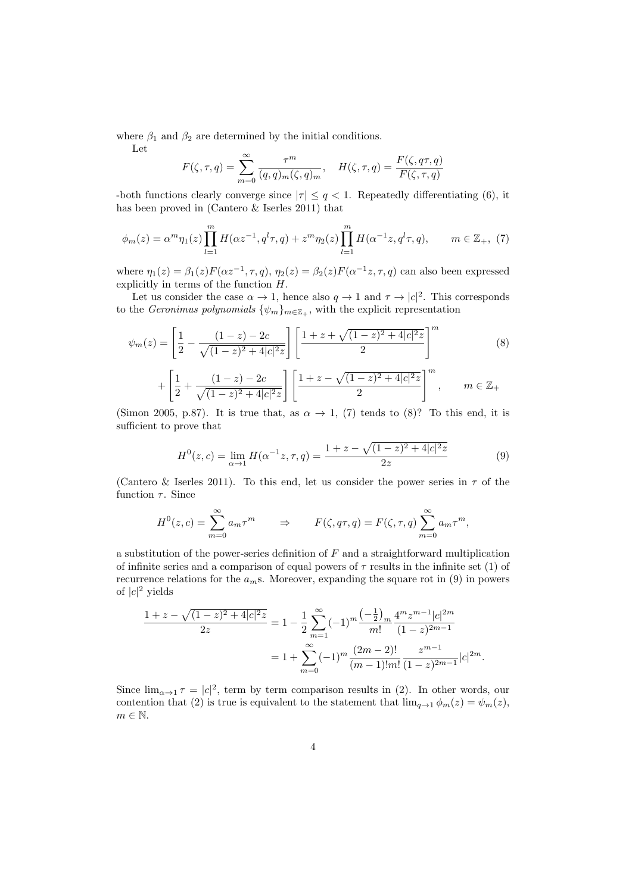where  $\beta_1$  and  $\beta_2$  are determined by the initial conditions.

Let

$$
F(\zeta, \tau, q) = \sum_{m=0}^{\infty} \frac{\tau^m}{(q, q)_m(\zeta, q)_m}, \quad H(\zeta, \tau, q) = \frac{F(\zeta, q\tau, q)}{F(\zeta, \tau, q)}
$$

-both functions clearly converge since  $|\tau| \leq q < 1$ . Repeatedly differentiating (6), it has been proved in (Cantero & Iserles 2011) that

$$
\phi_m(z) = \alpha^m \eta_1(z) \prod_{l=1}^m H(\alpha z^{-1}, q^l \tau, q) + z^m \eta_2(z) \prod_{l=1}^m H(\alpha^{-1} z, q^l \tau, q), \qquad m \in \mathbb{Z}_+, (7)
$$

where  $\eta_1(z) = \beta_1(z) F(\alpha z^{-1}, \tau, q), \eta_2(z) = \beta_2(z) F(\alpha^{-1} z, \tau, q)$  can also been expressed explicitly in terms of the function H.

Let us consider the case  $\alpha \to 1$ , hence also  $q \to 1$  and  $\tau \to |c|^2$ . This corresponds to the Geronimus polynomials  $\{\psi_m\}_{m\in\mathbb{Z}_+}$ , with the explicit representation

<sup>ψ</sup>m(z) = " 1 2 − (1 − z) − 2c p (1 − z) <sup>2</sup> + 4|c| 2z # "1 + z + p (1 − z) <sup>2</sup> + 4|c| 2z 2 #<sup>m</sup> (8) + " 1 2 + (1 − z) − 2c p (1 − z) <sup>2</sup> + 4|c| 2z # "1 + z − p (1 − z) <sup>2</sup> + 4|c| 2z 2 #<sup>m</sup> , m ∈ Z<sup>+</sup>

(Simon 2005, p.87). It is true that, as  $\alpha \to 1$ , (7) tends to (8)? To this end, it is sufficient to prove that

$$
H^{0}(z, c) = \lim_{\alpha \to 1} H(\alpha^{-1}z, \tau, q) = \frac{1 + z - \sqrt{(1 - z)^{2} + 4|c|^{2}z}}{2z}
$$
(9)

(Cantero & Iserles 2011). To this end, let us consider the power series in  $\tau$  of the function  $\tau$ . Since

$$
H^{0}(z, c) = \sum_{m=0}^{\infty} a_m \tau^m \qquad \Rightarrow \qquad F(\zeta, q\tau, q) = F(\zeta, \tau, q) \sum_{m=0}^{\infty} a_m \tau^m,
$$

a substitution of the power-series definition of  $F$  and a straightforward multiplication of infinite series and a comparison of equal powers of  $\tau$  results in the infinite set (1) of recurrence relations for the  $a<sub>m</sub>$ s. Moreover, expanding the square rot in (9) in powers of  $|c|^2$  yields

$$
\frac{1+z-\sqrt{(1-z)^2+4|c|^2z}}{2z} = 1 - \frac{1}{2} \sum_{m=1}^{\infty} (-1)^m \frac{\left(-\frac{1}{2}\right)_m}{m!} \frac{4^m z^{m-1} |c|^{2m}}{(1-z)^{2m-1}}
$$

$$
= 1 + \sum_{m=0}^{\infty} (-1)^m \frac{(2m-2)!}{(m-1)!m!} \frac{z^{m-1}}{(1-z)^{2m-1}} |c|^{2m}.
$$

Since  $\lim_{\alpha \to 1} \tau = |c|^2$ , term by term comparison results in (2). In other words, our contention that (2) is true is equivalent to the statement that  $\lim_{q\to 1} \phi_m(z) = \psi_m(z)$ ,  $m \in \mathbb{N}$ .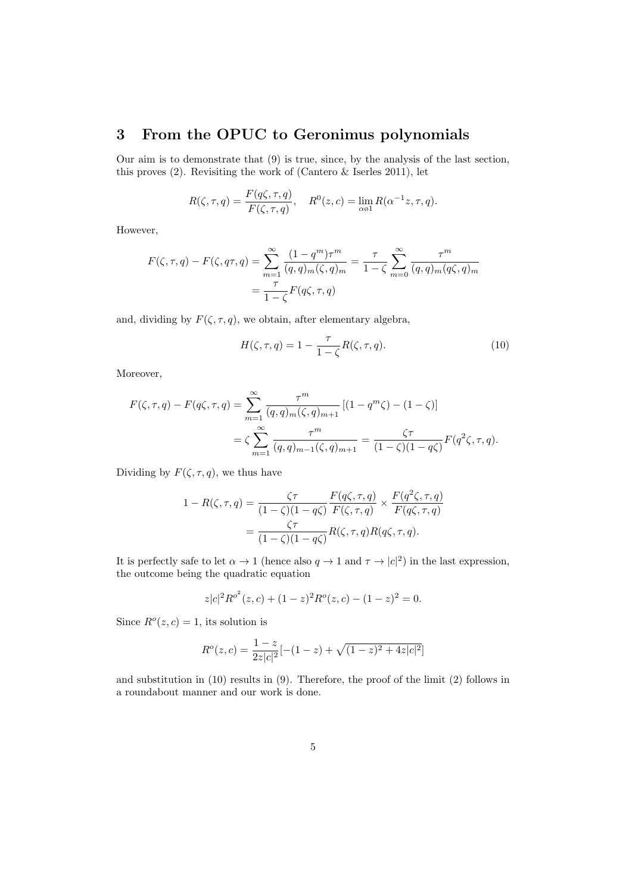## 3 From the OPUC to Geronimus polynomials

Our aim is to demonstrate that (9) is true, since, by the analysis of the last section, this proves (2). Revisiting the work of (Cantero & Iserles 2011), let

$$
R(\zeta, \tau, q) = \frac{F(q\zeta, \tau, q)}{F(\zeta, \tau, q)}, \quad R^{0}(z, c) = \lim_{\alpha \neq 1} R(\alpha^{-1}z, \tau, q).
$$

However,

$$
F(\zeta, \tau, q) - F(\zeta, q\tau, q) = \sum_{m=1}^{\infty} \frac{(1 - q^m)\tau^m}{(q, q)_m(\zeta, q)_m} = \frac{\tau}{1 - \zeta} \sum_{m=0}^{\infty} \frac{\tau^m}{(q, q)_m(q\zeta, q)_m}
$$

$$
= \frac{\tau}{1 - \zeta} F(q\zeta, \tau, q)
$$

and, dividing by  $F(\zeta, \tau, q)$ , we obtain, after elementary algebra,

$$
H(\zeta, \tau, q) = 1 - \frac{\tau}{1 - \zeta} R(\zeta, \tau, q). \tag{10}
$$

Moreover,

$$
F(\zeta, \tau, q) - F(q\zeta, \tau, q) = \sum_{m=1}^{\infty} \frac{\tau^m}{(q, q)_m(\zeta, q)_{m+1}} \left[ (1 - q^m \zeta) - (1 - \zeta) \right]
$$
  
=  $\zeta \sum_{m=1}^{\infty} \frac{\tau^m}{(q, q)_{m-1}(\zeta, q)_{m+1}} = \frac{\zeta \tau}{(1 - \zeta)(1 - q\zeta)} F(q^2 \zeta, \tau, q).$ 

Dividing by  $F(\zeta, \tau, q)$ , we thus have

$$
1 - R(\zeta, \tau, q) = \frac{\zeta \tau}{(1 - \zeta)(1 - q\zeta)} \frac{F(q\zeta, \tau, q)}{F(\zeta, \tau, q)} \times \frac{F(q^2\zeta, \tau, q)}{F(q\zeta, \tau, q)}
$$
  
= 
$$
\frac{\zeta \tau}{(1 - \zeta)(1 - q\zeta)} R(\zeta, \tau, q) R(q\zeta, \tau, q).
$$

It is perfectly safe to let  $\alpha \to 1$  (hence also  $q \to 1$  and  $\tau \to |c|^2$ ) in the last expression, the outcome being the quadratic equation

$$
z|c|^2 R^{o^2}(z,c) + (1-z)^2 R^o(z,c) - (1-z)^2 = 0.
$$

Since  $R^o(z, c) = 1$ , its solution is

$$
R^{o}(z, c) = \frac{1-z}{2z|c|^{2}}[-(1-z) + \sqrt{(1-z)^{2} + 4z|c|^{2}}]
$$

and substitution in (10) results in (9). Therefore, the proof of the limit (2) follows in a roundabout manner and our work is done.